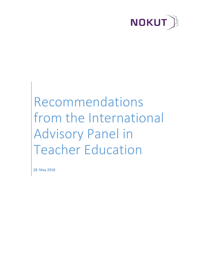

# Recommendations from the International Advisory Panel in Teacher Education

28. May 2018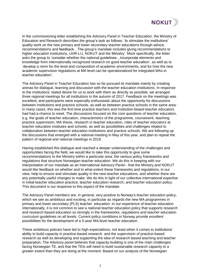

In the commissioning letter establishing the Advisory Panel in Teacher Education, the Ministry of Education and Research describes the group's task as follows: 'to stimulate the institutions' quality work on the new primary and lower secondary teacher educations through advice, recommendations and feedback…The group's mandate includes giving recommendations to higher education institutions, UHR-LU, NOKUT and the Ministry'. More specifically, the letter asks the group to 'consider whether the national guidelines…incorporate elements and knowledge from internationally recognized research on good teacher education', as well as to 'develop a norm for the level and composition of academic environments, and for how the new academic supervision regulations at MA level can be operationalized for integrated MAs in teacher education'.

The Advisory Panel in Teacher Education has so far pursued its mandate mainly by creating arenas for dialogue, learning and discussion with the teacher education institutions. In response to the institutions' stated desire for us to work with them as directly as possible, we arranged three regional meetings for all institutions in the autumn of 2017. Feedback on the meetings was excellent, and participants were especially enthusiastic about the opportunity for discussions between institutions and practice schools, as well as between practice schools in the same area in many cases, this was the first time practice teachers and institution-based teacher educators had had a chance to meet. The discussions focused on the core questions of teacher education, e.g. the goals of teacher education, characteristics of the programme, coursework, teaching practice supervision, MA thesis, research in teacher education, roles of teacher educators at teacher education institutes and schools, as well as possibilities and challenges related to collaboration between teacher education institutions and practice schools. We are following up the discussions that emerged with a national meeting in May of this year, and plan to repeat the pattern of regional and national meetings in 2019.

Having established this dialogue and reached a deeper understanding of the challenges and opportunities facing the field, we would like to take this opportunity to give some recommendations to the Ministry within a particular area: the various policy frameworks and regulations that structure Norwegian teacher education. We do this in keeping with our interpretation of our mandate as an International Advisory Panel-- that the Ministry and NOKUT would like feedback on whether and to what extent these frameworks and regulations, in our view, help to ensure and stimulate quality in the new teacher educations, and whether there are any potentially useful changes to make. We do this in light of our collective international expertise in initial teacher education practice, teacher education research, and teacher education policy. This document is our response to this aspect of the mandate.

The Advisory Panel members are, in general, very positive to Norway's teacher education policy, which we see as ambitious and exciting, in particular as regards the new MA programmes in primary and lower secondary (PLS) teacher education. In our experience of teacher education internationally, it is not common to see a national teacher education policy that supports research and research-based education so strongly in the frameworks, regulations and teacher education curriculum guidelines on all levels. Current policy conditions in Norway provide excellent possibilities for the development of a 5-year MA-level teacher education.

These ambitious policies have led to high expectations, not least when it comes to institutions' ability to build capacity in practice-based research and the supervision of practice-based research as well as developing and supporting the idea of research-based teaching and teacher preparation. The Advisory panel believes that capacity-building is one of the main challenges facing Norwegian TE, and that the TEIs will need to build sustainable research capacity to a greater extent than they are doing at the moment. Based on our analysis of the Norwegian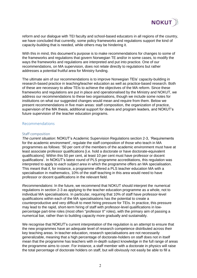

reform and our dialogue with TEI faculty and school-based educators in all regions of the country, we have concluded that currently, some policy frameworks and regulations support the kind of capacity-building that is needed, while others may be hindering it.

With this in mind, this document's purpose is to make recommendations for changes to some of the frameworks and regulations that govern Norwegian TE and/or in some cases, to modify the ways the frameworks and regulations are interpreted and put into practice. One of our recommendations, on MA supervision, does not relate directly to regulations but rather addresses a potential fruitful area for Ministry funding.

The ultimate aim of our recommendations is to improve Norwegian TEIs' capacity-building in research-based practice in teaching/teacher education as well as practice-based research. Both of these are necessary to allow TEIs to achieve the objectives of the MA reform. Since these frameworks and regulations are put in place and operationalised by the Ministry and NOKUT, we address our recommendations to these two organisations, though we include some notes for institutions on what our suggested changes would mean and require from them. Below we present recommendations in five main areas: staff composition, the organization of practice, supervision of the MA thesis, additional support for deans and program leaders, and NOKUT's future supervision of the teacher education programs.

### Recommendations

#### Staff composition

*The current situation*: NOKUT's Academic Supervision Regulations section 2-3, 'Requirements for the academic environment', regulate the staff composition of those who teach in MA programmes as follows: '50 per cent of the members of the academic environment must have at least associate professor qualifications [i.e. hold a doctorate or have doctorate-equivalent qualifications]. Within this 50 per cent, at least 10 per cent must have professor or docent qualifications'. In NOKUT's latest round of PLS programme accreditations, this regulation was interpreted to apply to *each subject area* in which the programme offers an MA specialisation. This meant that if, for instance, a programme offered a PLS teacher education MA with a specialisation in mathematics, 10% of the staff teaching in this area would need to have professor or docent qualifications in the relevant field.

*Recommendations*: In the future, we recommend that NOKUT should interpret the numerical regulations in section 2-3 as applying to the teacher education programme as a whole, not to individual MA specialisations. In particular, requiring that 10% of staff have professor-level qualifications within each of the MA specialisations has the potential to create a counterproductive and very difficult to meet hiring pressure for TEIs. In practice, this pressure may lead to the rapid, short-term hiring of staff with professor-level qualifications in lowpercentage part-time roles (most often "professor II" roles), with the primary aim of passing a numerical bar, rather than to building capacity more gradually and sustainably.

We recognise that NOKUT's current interpretation of the regulation is an attempt to ensure that the new programmes have an adequate level of research competence distributed across their key teaching areas. In teacher education, research specialisations are not necessarily generalizable, meaning that a high percentage of doctorate-holders on staff does not in itself mean that the programme has teachers with in-depth subject knowledge in the full range of areas the programme aims to cover. For instance, a staff member with a doctorate in physics will raise the total percentage of doctorate holders on staff, but will obviously not easily be able to fill a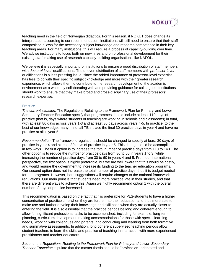

teaching need in the field of Norwegian didactics. For this reason, if NOKUT does change its interpretation according to our recommendation, institutions will still need to ensure that their staff composition allows for the necessary subject knowledge and research competence in their key teaching areas. For many institutions, this will require a process of capacity-building over time. We advise institutions to focus both on new hires and on professional development for their existing staff, making use of research capacity-building organisations like NAFOL.

We believe it is especially important for institutions to ensure a good distribution of staff members with *doctoral-level* qualifications. The uneven distribution of staff members with *professor-level* qualifications is a less pressing issue, since the added importance of professor-level expertise has less to do with their specific subject knowledge and more with their greater research experience, which allows them to contribute to the research development of the academic environment as a whole by collaborating with and providing guidance for colleagues. Institutions should work to ensure that they make broad and cross-disciplinary use of their professors' research expertise.

#### **Practice**

*The current situation*: The Regulations Relating to the Framework Plan for Primary and Lower Secondary Teacher Education specify that programmes should include at least 110 days of practice (that is, days where students of teaching are working in schools and classrooms) in total, with at least 80 days across years 1-3 and at least 30 days across years 4-5. In practice, to the best of our knowledge, many, if not all TEIs place the final 30 practice days in year 4 and have no practice at all in year 5.

*Recommendation*: The framework regulations should be changed to specify at least 30 days of practice in year 4 and at least 30 days of practice in year 5. This change could be accomplished in two ways. The first option is to increase the total number of practice days from 110 to 140. The other option is to reduce the number of practice days from 80 to 50 in years 1 to 3, while increasing the number of practice days from 30 to 60 in years 4 and 5. From our international perspective, the first option is highly preferable, but we are well aware that this would be costly, and would require the government to increase its funding to the teacher education programs. Our second option does not increase the total number of practice days, thus it is budget neutral for the programs. However, both suggestions will require changes to the national framework regulations. Our main point is that students need more practice late in their studies, and that there are different ways to achieve this. Again we highly recommend option 1 with the overall number of days of practice increased.

This recommendation is based on the fact that it is preferable for PLS-students to have a higher concentration of practice time when they are further into their education and thus more able to make use and further develop their knowledge and skill base when they are actually closer to entering the field. It is also essential that the practice periods be long and coherent enough to allow for significant professional tasks to be accomplished, including for example, long-term planning, curriculum development, making accommodations for those with special learning needs, working with colleagues and parents, and conducting and learning from both formative and summative assessments. In addition, long coherent supervised teaching periods allow student teachers to learn the skills and practice of teaching in interaction with more experienced practitioners and teacher educators.

Second, the *Regulations Relating to the Framework Plan for Primary and Lower Secondary Teacher Education* stipulate that the master thesis should be "profession- orientated and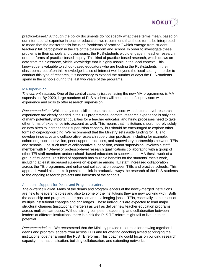

practice-based." Although the policy documents do not specify what these terms mean, based on our international expertise in teacher education, we recommend that these terms be interpreted to mean that the master thesis focus on "problems of practice," which emerge from student teachers' full participation in the life of the classroom and school. In order to investigate these problems in their schools and classrooms, the PLS-students would engage in teacher research or other forms of practice-based inquiry. This kind of practice-based research, which draws on data from the classroom, yields knowledge that is highly usable in the local context. This knowledge is valuable to school-based educators who are hosting the PLS-students in their classrooms, but often this knowledge is also of interest well beyond the local setting. In order to conduct this type of research, it is necessary to expand the number of days the PLS-students spend in the schools during the last two years of the programs.

#### MA supervision

*The current situation*: One of the central capacity issues facing the new MA programmes is MA supervision. By 2020, large numbers of PLS-students will be in need of supervisors with the experience and skills to offer research supervision.

*Recommendation*: While many more skilled research supervisors with doctoral-level research experience are clearly needed in the TEI programmes, doctoral research experience is only one of many potentially important qualities for a teacher educator, and hiring processes need to take other forms of experience into account as well. This means that institutions should not rely solely on new hires to increase their supervision capacity, but should be encouraged to explore other forms of capacity-building. We recommend that the Ministry sets aside funding for TEIs to develop innovative and collaborative research supervision practices, including for example, cohort or group supervision, peer support processes, and supervisory partnerships between TEIs and schools. One such form of collaborative supervision, cohort supervision, involves a staff member with PhD-level or professor-level research qualifications collaborating with a group of other TEI staff members and/or school- based educators to supervise the MA thesis work of a group of students. This kind of approach has multiple benefits for the students' thesis work, including at least: increased supervision expertise among TEI staff, increased collaboration across the TE programme; and enhanced collaboration between TEIs and practice schools. This approach would also make it possible to link in productive ways the research of the PLS-students to the ongoing research projects and interests of the schools.

#### Additional Support for Deans and Program Leaders

*The current situation.* Many of the deans and program leaders at the newly-merged institutions are new to leadership roles and also to some of the institutions they are now working with. Both the deanship and program leader position are challenging jobs in TEIs, especially in the midst of multiple institutional changes and challenges. These individuals are expected to lead major structural changes (institutional mergers) as well as deliver new teacher education programs across multiple campuses. Without strong competent leadership and collaboration between leaders at different institutions, there is a risk the PLS TE reform might fail to live up to its potential.

*Recommendations:* We recommend that the Ministry provide resources for drawing together the deans and program leaders from across TEIs and for offering coaching aimed at bringing the institutions together around the PLS TE reforms. This coaching could focus on building research capacity, internationalisation, building collaboration, and extending networks.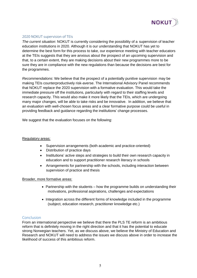

## 2020 NOKUT supervision of TEIs

*The current situation*: NOKUT is currently considering the possibility of a supervision of teacher education institutions in 2020. Although it is our understanding that NOKUT has yet to determine the best form for this process to take, our experience meeting with teacher educators at the TEIs suggests that they are anxious about the prospect of an upcoming supervision and that, to a certain extent, they are making decisions about their new programmes more to be sure they are in compliance with the new regulations than because the decisions are best for the programmes.

*Recommendations*: We believe that the prospect of a potentially punitive supervision may be making TEIs counterproductively risk-averse. The International Advisory Panel recommends that NOKUT replace the 2020 supervision with a formative evaluation. This would take the immediate pressure off the institutions, particularly with regard to their staffing levels and research capacity. This would also make it more likely that the TEIs, which are undergoing many major changes, will be able to take risks and be innovative. In addition, we believe that an evaluation with well-chosen focus areas and a clear formative purpose could be useful in providing feedback and guidance regarding the institutions' change processes.

We suggest that the evaluation focuses on the following:

#### Regulatory areas:

- Supervision arrangements (both academic and practice-oriented)
- Distribution of practice days
- Institutions' active steps and strategies to build their own research capacity in education and to support practitioner research literacy in schools
- Arrangements for partnership with the schools, including interaction between supervision of practice and thesis

#### Broader, more formative areas:

- Partnership with the students how the programme builds on understanding their motivations, professional aspirations, challenges and expectations
- Integration across the different forms of knowledge included in the programme (subject, education research, practitioner knowledge etc.)

## Conclusion

From an international perspective we believe that there the PLS TE reform is an ambitious reform that is definitely moving in the right direction and that it has the potential to educate strong Norwegian teachers. Yet, as we discuss above, we believe the Ministry of Education and Research and NOKUT will need to address the issues we discuss above in order to increase the likelihood of success of this ambitious reform.